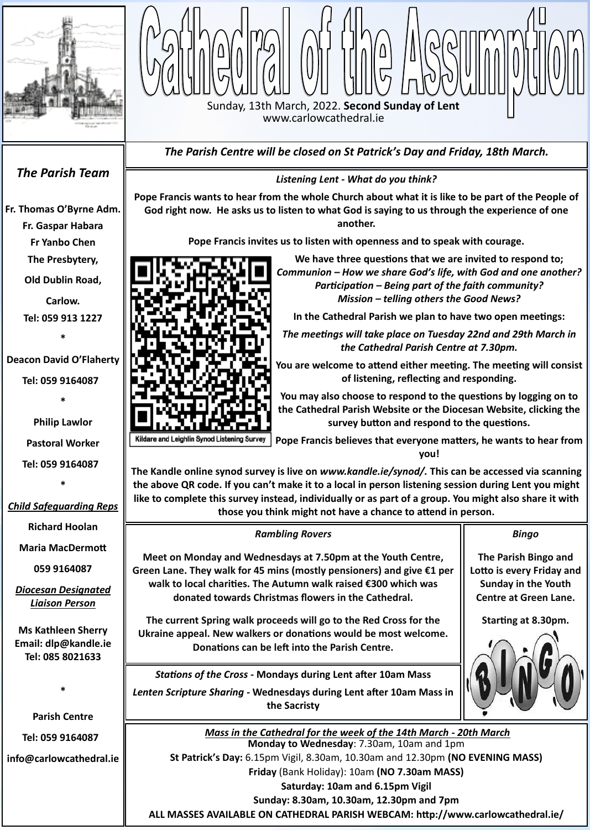Ш **The current Spring walk proceeds will go to the Red Cross for the Ms Kathleen Sherry Ukraine appeal. New walkers or donations would be most welcome. Email: dlp@kandle.ie Donations can be left into the Parish Centre.Tel: 085 8021633**  *Stations of the Cross -* **Mondays during Lent after 10am Mass \*** *Lenten Scripture Sharing -* **Wednesdays during Lent after 10am Mass in the Sacristy Parish Centre** *Mass in the Cathedral for the week of the 14th March - 20th March* **Tel: 059 9164087 Monday to Wednesday**: 7.30am, 10am and 1pm **St Patrick's Day:** 6.15pm Vigil, 8.30am, 10.30am and 12.30pm **(NO EVENING MASS) info@carlowcathedral.ie Friday** (Bank Holiday): 10am **(NO 7.30am MASS) Saturday: 10am and 6.15pm Vigil Sunday: 8.30am, 10.30am, 12.30pm and 7pm ALL MASSES AVAILABLE ON CATHEDRAL PARISH WEBCAM: [http://www.carlowcathedral.ie/](http://www.carlowcathedral.ie/webcam/)**



Sunday, 13th March, 2022. **Second Sunday of Lent** www.carlowcathedral.ie

*Listening Lent - What do you think?*

p<br>Vd<br>m **We have three questions that we are invited to respond to;**  *Communion – How we share God's life, with God and one another? Participation – Being part of the faith community? Mission – telling others the Good News?*

**Pope Francis wants to hear from the whole Church about what it is like to be part of the People of God right now. He asks us to listen to what God is saying to us through the experience of one another.** 

**Pope Francis invites us to listen with openness and to speak with courage.** 

**In the Cathedral Parish we plan to have two open meetings:** 

*The meetings will take place on Tuesday 22nd and 29th March in the Cathedral Parish Centre at 7.30pm.* 

**You are welcome to attend either meeting. The meeting will consist of listening, reflecting and responding.**

**You may also choose to respond to the questions by logging on to the Cathedral Parish Website or the Diocesan Website, clicking the survey button and respond to the questions.**

**Pope Francis believes that everyone matters, he wants to hear from you!**

**The Kandle online synod survey is live on** *www.kandle.ie/synod/.* **This can be accessed via scanning the above QR code. If you can't make it to a local in person listening session during Lent you might like to complete this survey instead, individually or as part of a group. You might also share it with those you think might not have a chance to attend in person.**

## *The Parish Team*

**[Fr. Thomas O](http://www.carlowcathedral.ie/2017/09/fr-padraig-shelley-c-c/)'Byrne Adm.**

**Fr. Gaspar Habara**

**Fr Yanbo Chen**

**The Presbytery,** 

**Old Dublin Road,** 

**Carlow. Tel: 059 913 1227**

**\***

**Deacon David O'Flaherty**

**Tel: 059 9164087** 

**\***

**Philip Lawlor**

**Pastoral Worker**

**Tel: 059 9164087** 

**\***

### *Child Safeguarding Reps*

**Richard Hoolan**

**Maria MacDermott**

**059 9164087**

*Diocesan Designated Liaison Person*

*The Parish Centre will be closed on St Patrick's Day and Friday, 18th March.*

*Bingo*

**The Parish Bingo and Lotto is every Friday and Sunday in the Youth Centre at Green Lane.**

**Starting at 8.30pm.** 



*Rambling Rovers*

| <b>NUMBER OF BUILDING</b>                                               |  |
|-------------------------------------------------------------------------|--|
| Meet on Monday and Wednesdays at 7.50pm at the Youth Centre,            |  |
| Green Lane. They walk for 45 mins (mostly pensioners) and give $E1$ per |  |
| walk to local charities. The Autumn walk raised €300 which was          |  |
| donated towards Christmas flowers in the Cathedral.                     |  |
|                                                                         |  |